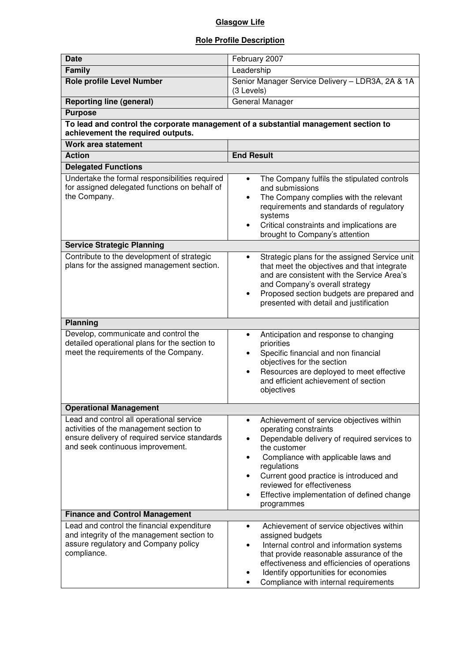## **Glasgow Life**

## **Role Profile Description**

| <b>Date</b>                                                                                                                                                              | February 2007                                                                                                                                                                                                                                                                                                                                                   |  |  |  |
|--------------------------------------------------------------------------------------------------------------------------------------------------------------------------|-----------------------------------------------------------------------------------------------------------------------------------------------------------------------------------------------------------------------------------------------------------------------------------------------------------------------------------------------------------------|--|--|--|
| Family                                                                                                                                                                   | Leadership                                                                                                                                                                                                                                                                                                                                                      |  |  |  |
| <b>Role profile Level Number</b>                                                                                                                                         | Senior Manager Service Delivery - LDR3A, 2A & 1A<br>(3 Levels)                                                                                                                                                                                                                                                                                                  |  |  |  |
| <b>Reporting line (general)</b>                                                                                                                                          | General Manager                                                                                                                                                                                                                                                                                                                                                 |  |  |  |
| <b>Purpose</b>                                                                                                                                                           |                                                                                                                                                                                                                                                                                                                                                                 |  |  |  |
| To lead and control the corporate management of a substantial management section to                                                                                      |                                                                                                                                                                                                                                                                                                                                                                 |  |  |  |
| achievement the required outputs.                                                                                                                                        |                                                                                                                                                                                                                                                                                                                                                                 |  |  |  |
| Work area statement                                                                                                                                                      |                                                                                                                                                                                                                                                                                                                                                                 |  |  |  |
| <b>Action</b>                                                                                                                                                            | <b>End Result</b>                                                                                                                                                                                                                                                                                                                                               |  |  |  |
| <b>Delegated Functions</b>                                                                                                                                               |                                                                                                                                                                                                                                                                                                                                                                 |  |  |  |
| Undertake the formal responsibilities required<br>for assigned delegated functions on behalf of<br>the Company.                                                          | The Company fulfils the stipulated controls<br>$\bullet$<br>and submissions<br>The Company complies with the relevant<br>٠<br>requirements and standards of regulatory<br>systems<br>Critical constraints and implications are<br>$\bullet$<br>brought to Company's attention                                                                                   |  |  |  |
| <b>Service Strategic Planning</b>                                                                                                                                        |                                                                                                                                                                                                                                                                                                                                                                 |  |  |  |
| Contribute to the development of strategic<br>plans for the assigned management section.                                                                                 | Strategic plans for the assigned Service unit<br>$\bullet$<br>that meet the objectives and that integrate<br>and are consistent with the Service Area's<br>and Company's overall strategy<br>Proposed section budgets are prepared and<br>presented with detail and justification                                                                               |  |  |  |
| <b>Planning</b>                                                                                                                                                          |                                                                                                                                                                                                                                                                                                                                                                 |  |  |  |
| Develop, communicate and control the<br>detailed operational plans for the section to<br>meet the requirements of the Company.                                           | Anticipation and response to changing<br>priorities<br>Specific financial and non financial<br>objectives for the section<br>Resources are deployed to meet effective<br>$\bullet$<br>and efficient achievement of section<br>objectives                                                                                                                        |  |  |  |
| <b>Operational Management</b>                                                                                                                                            |                                                                                                                                                                                                                                                                                                                                                                 |  |  |  |
| Lead and control all operational service<br>activities of the management section to<br>ensure delivery of required service standards<br>and seek continuous improvement. | Achievement of service objectives within<br>$\bullet$<br>operating constraints<br>Dependable delivery of required services to<br>the customer<br>Compliance with applicable laws and<br>٠<br>regulations<br>Current good practice is introduced and<br>$\bullet$<br>reviewed for effectiveness<br>Effective implementation of defined change<br>٠<br>programmes |  |  |  |
| <b>Finance and Control Management</b>                                                                                                                                    |                                                                                                                                                                                                                                                                                                                                                                 |  |  |  |
| Lead and control the financial expenditure<br>and integrity of the management section to<br>assure regulatory and Company policy<br>compliance.                          | Achievement of service objectives within<br>$\bullet$<br>assigned budgets<br>Internal control and information systems<br>٠<br>that provide reasonable assurance of the<br>effectiveness and efficiencies of operations<br>Identify opportunities for economies<br>Compliance with internal requirements<br>٠                                                    |  |  |  |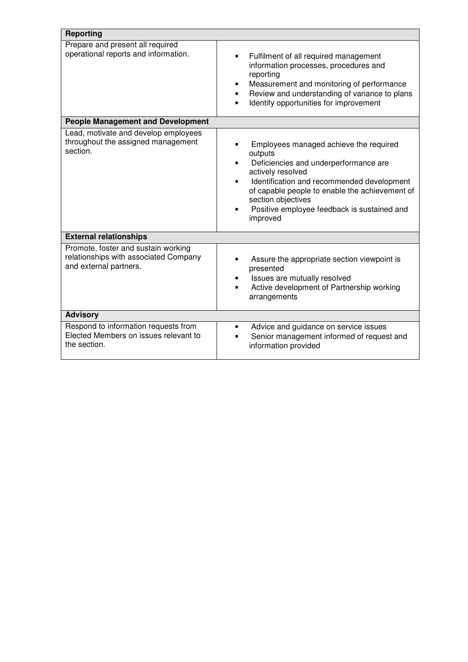| <b>Reporting</b>                                                                                       |                                                                                                                                                                                                                                                                                                                                         |  |  |  |
|--------------------------------------------------------------------------------------------------------|-----------------------------------------------------------------------------------------------------------------------------------------------------------------------------------------------------------------------------------------------------------------------------------------------------------------------------------------|--|--|--|
| Prepare and present all required<br>operational reports and information.                               | Fulfilment of all required management<br>$\bullet$<br>information processes, procedures and<br>reporting<br>Measurement and monitoring of performance<br>Review and understanding of variance to plans<br>$\bullet$<br>Identify opportunities for improvement<br>$\bullet$                                                              |  |  |  |
| <b>People Management and Development</b>                                                               |                                                                                                                                                                                                                                                                                                                                         |  |  |  |
| Lead, motivate and develop employees<br>throughout the assigned management<br>section.                 | Employees managed achieve the required<br>outputs<br>Deficiencies and underperformance are<br>$\bullet$<br>actively resolved<br>Identification and recommended development<br>$\bullet$<br>of capable people to enable the achievement of<br>section objectives<br>Positive employee feedback is sustained and<br>$\bullet$<br>improved |  |  |  |
| <b>External relationships</b>                                                                          |                                                                                                                                                                                                                                                                                                                                         |  |  |  |
| Promote, foster and sustain working<br>relationships with associated Company<br>and external partners. | Assure the appropriate section viewpoint is<br>presented<br>Issues are mutually resolved<br>Active development of Partnership working<br>arrangements                                                                                                                                                                                   |  |  |  |
| <b>Advisory</b>                                                                                        |                                                                                                                                                                                                                                                                                                                                         |  |  |  |
| Respond to information requests from<br>Elected Members on issues relevant to<br>the section.          | Advice and guidance on service issues<br>$\bullet$<br>Senior management informed of request and<br>$\bullet$<br>information provided                                                                                                                                                                                                    |  |  |  |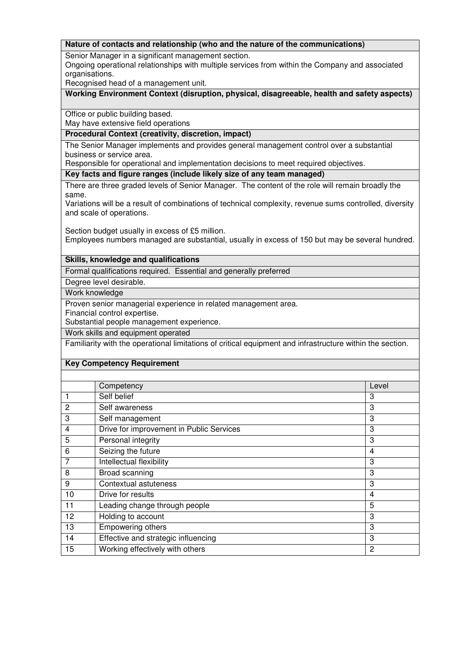#### **Nature of contacts and relationship (who and the nature of the communications)**

Senior Manager in a significant management section.

Ongoing operational relationships with multiple services from within the Company and associated organisations.

Recognised head of a management unit.

### **Working Environment Context (disruption, physical, disagreeable, health and safety aspects)**

Office or public building based.

May have extensive field operations

### **Procedural Context (creativity, discretion, impact)**

The Senior Manager implements and provides general management control over a substantial business or service area.

Responsible for operational and implementation decisions to meet required objectives.

**Key facts and figure ranges (include likely size of any team managed)** 

There are three graded levels of Senior Manager. The content of the role will remain broadly the same.

Variations will be a result of combinations of technical complexity, revenue sums controlled, diversity and scale of operations.

Section budget usually in excess of £5 million. Employees numbers managed are substantial, usually in excess of 150 but may be several hundred.

### **Skills, knowledge and qualifications**

Formal qualifications required. Essential and generally preferred

Degree level desirable.

Work knowledge

Proven senior managerial experience in related management area.

Financial control expertise.

Substantial people management experience.

Work skills and equipment operated

Familiarity with the operational limitations of critical equipment and infrastructure within the section.

### **Key Competency Requirement**

|    | Competency                               | Level          |
|----|------------------------------------------|----------------|
| 1  | Self belief                              | 3              |
| 2  | Self awareness                           | 3              |
| 3  | Self management                          | 3              |
| 4  | Drive for improvement in Public Services | 3              |
| 5  | Personal integrity                       | 3              |
| 6  | Seizing the future                       | 4              |
| 7  | Intellectual flexibility                 | 3              |
| 8  | Broad scanning                           | 3              |
| 9  | Contextual astuteness                    | 3              |
| 10 | Drive for results                        | 4              |
| 11 | Leading change through people            | 5              |
| 12 | Holding to account                       | 3              |
| 13 | Empowering others                        | 3              |
| 14 | Effective and strategic influencing      | 3              |
| 15 | Working effectively with others          | $\overline{c}$ |